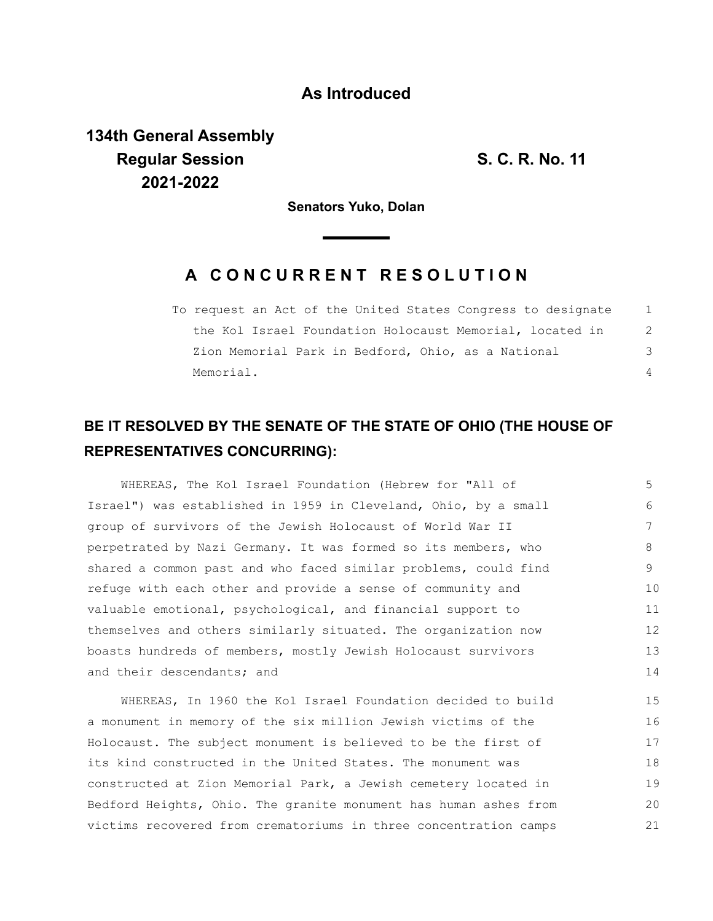### **As Introduced**

**134th General Assembly Regular Session S. C. R. No. 11 2021-2022**

**Senators Yuko, Dolan**

## **A C O N C U R R E N T R E S O L U T I O N**

To request an Act of the United States Congress to designate the Kol Israel Foundation Holocaust Memorial, located in Zion Memorial Park in Bedford, Ohio, as a National Memorial. 1  $\mathfrak{D}$ 3  $\Delta$ 

# **BE IT RESOLVED BY THE SENATE OF THE STATE OF OHIO (THE HOUSE OF REPRESENTATIVES CONCURRING):**

WHEREAS, The Kol Israel Foundation (Hebrew for "All of Israel") was established in 1959 in Cleveland, Ohio, by a small group of survivors of the Jewish Holocaust of World War II perpetrated by Nazi Germany. It was formed so its members, who shared a common past and who faced similar problems, could find refuge with each other and provide a sense of community and valuable emotional, psychological, and financial support to themselves and others similarly situated. The organization now boasts hundreds of members, mostly Jewish Holocaust survivors and their descendants; and 5 6 7 8 9 10 11 12 13 14

WHEREAS, In 1960 the Kol Israel Foundation decided to build a monument in memory of the six million Jewish victims of the Holocaust. The subject monument is believed to be the first of its kind constructed in the United States. The monument was constructed at Zion Memorial Park, a Jewish cemetery located in Bedford Heights, Ohio. The granite monument has human ashes from victims recovered from crematoriums in three concentration camps 15 16 17 18 19 20 21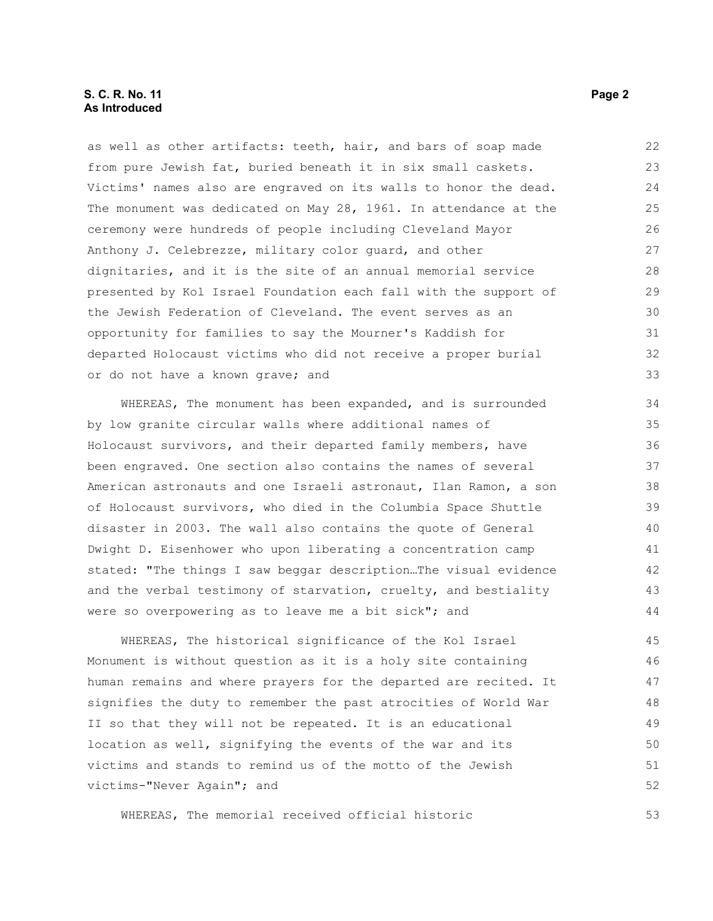#### **S. C. R. No. 11** Page 2 **As Introduced**

as well as other artifacts: teeth, hair, and bars of soap made from pure Jewish fat, buried beneath it in six small caskets. Victims' names also are engraved on its walls to honor the dead. The monument was dedicated on May 28, 1961. In attendance at the ceremony were hundreds of people including Cleveland Mayor Anthony J. Celebrezze, military color guard, and other dignitaries, and it is the site of an annual memorial service presented by Kol Israel Foundation each fall with the support of the Jewish Federation of Cleveland. The event serves as an opportunity for families to say the Mourner's Kaddish for departed Holocaust victims who did not receive a proper burial or do not have a known grave; and 22 23 24 25 26 27 28 29 30 31 32 33

WHEREAS, The monument has been expanded, and is surrounded by low granite circular walls where additional names of Holocaust survivors, and their departed family members, have been engraved. One section also contains the names of several American astronauts and one Israeli astronaut, Ilan Ramon, a son of Holocaust survivors, who died in the Columbia Space Shuttle disaster in 2003. The wall also contains the quote of General Dwight D. Eisenhower who upon liberating a concentration camp stated: "The things I saw beggar description…The visual evidence and the verbal testimony of starvation, cruelty, and bestiality were so overpowering as to leave me a bit sick"; and

WHEREAS, The historical significance of the Kol Israel Monument is without question as it is a holy site containing human remains and where prayers for the departed are recited. It signifies the duty to remember the past atrocities of World War II so that they will not be repeated. It is an educational location as well, signifying the events of the war and its victims and stands to remind us of the motto of the Jewish victims-"Never Again"; and 45 46 47 48 49 50 51 52

WHEREAS, The memorial received official historic

53